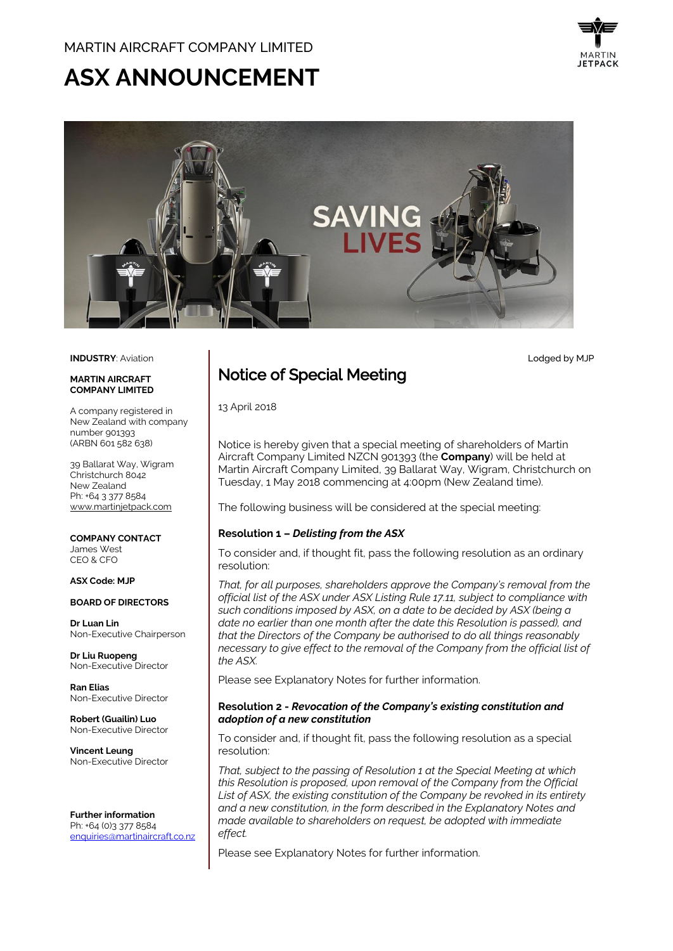# **ASX ANNOUNCEMENT**



Lodged by MJP



#### **INDUSTRY**: Aviation

#### **MARTIN AIRCRAFT COMPANY LIMITED**

A company registered in New Zealand with company number 901393 (ARBN 601 582 638)

39 Ballarat Way, Wigram Christchurch 8042 New Zealand Ph: +64 3 377 8584 [www.martinjetpack.com](http://www.martinjetpack.com/)

**COMPANY CONTACT** James West CEO & CFO

#### **ASX Code: MJP**

#### **BOARD OF DIRECTORS**

**Dr Luan Lin** Non-Executive Chairperson

**Dr Liu Ruopeng**  Non-Executive Director

**Ran Elias** Non-Executive Director

**Robert (Guailin) Luo** Non-Executive Director

**Vincent Leung** Non-Executive Director

**Further information** Ph: +64 (0)3 377 8584 [enquiries@martinaircraft.co.nz](mailto:enquiries@martinaircraft.co.nz)

# Notice of Special Meeting

13 April 2018

Notice is hereby given that a special meeting of shareholders of Martin Aircraft Company Limited NZCN 901393 (the **Company**) will be held at Martin Aircraft Company Limited, 39 Ballarat Way, Wigram, Christchurch on Tuesday, 1 May 2018 commencing at 4:00pm (New Zealand time).

The following business will be considered at the special meeting:

#### **Resolution 1 –** *Delisting from the ASX*

To consider and, if thought fit, pass the following resolution as an ordinary resolution:

*That, for all purposes, shareholders approve the Company's removal from the official list of the ASX under ASX Listing Rule 17.11, subject to compliance with such conditions imposed by ASX, on a date to be decided by ASX (being a date no earlier than one month after the date this Resolution is passed), and that the Directors of the Company be authorised to do all things reasonably necessary to give effect to the removal of the Company from the official list of the ASX.* 

Please see Explanatory Notes for further information.

#### **Resolution 2 -** *Revocation of the Company's existing constitution and adoption of a new constitution*

To consider and, if thought fit, pass the following resolution as a special resolution:

*That, subject to the passing of Resolution 1 at the Special Meeting at which this Resolution is proposed, upon removal of the Company from the Official List of ASX, the existing constitution of the Company be revoked in its entirety and a new constitution, in the form described in the Explanatory Notes and made available to shareholders on request, be adopted with immediate effect.*

Please see Explanatory Notes for further information.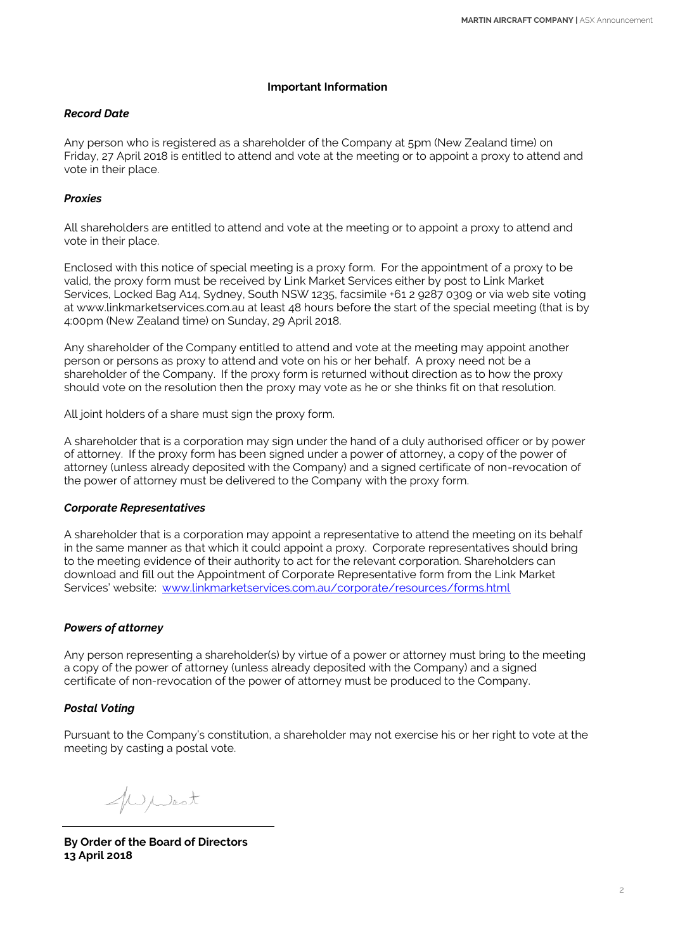## **Important Information**

# *Record Date*

Any person who is registered as a shareholder of the Company at 5pm (New Zealand time) on Friday, 27 April 2018 is entitled to attend and vote at the meeting or to appoint a proxy to attend and vote in their place.

# *Proxies*

All shareholders are entitled to attend and vote at the meeting or to appoint a proxy to attend and vote in their place.

Enclosed with this notice of special meeting is a proxy form. For the appointment of a proxy to be valid, the proxy form must be received by Link Market Services either by post to Link Market Services, Locked Bag A14, Sydney, South NSW 1235, facsimile +61 2 9287 0309 or via web site voting at www.linkmarketservices.com.au at least 48 hours before the start of the special meeting (that is by 4:00pm (New Zealand time) on Sunday, 29 April 2018.

Any shareholder of the Company entitled to attend and vote at the meeting may appoint another person or persons as proxy to attend and vote on his or her behalf. A proxy need not be a shareholder of the Company. If the proxy form is returned without direction as to how the proxy should vote on the resolution then the proxy may vote as he or she thinks fit on that resolution.

All joint holders of a share must sign the proxy form.

A shareholder that is a corporation may sign under the hand of a duly authorised officer or by power of attorney. If the proxy form has been signed under a power of attorney, a copy of the power of attorney (unless already deposited with the Company) and a signed certificate of non-revocation of the power of attorney must be delivered to the Company with the proxy form.

# *Corporate Representatives*

A shareholder that is a corporation may appoint a representative to attend the meeting on its behalf in the same manner as that which it could appoint a proxy. Corporate representatives should bring to the meeting evidence of their authority to act for the relevant corporation. Shareholders can download and fill out the Appointment of Corporate Representative form from the Link Market Services' website: [www.linkmarketservices.com.au/corporate/resources/forms.html](http://www.linkmarketservices.com.au/corporate/resources/forms.html)

# *Powers of attorney*

Any person representing a shareholder(s) by virtue of a power or attorney must bring to the meeting a copy of the power of attorney (unless already deposited with the Company) and a signed certificate of non-revocation of the power of attorney must be produced to the Company.

# *Postal Voting*

Pursuant to the Company's constitution, a shareholder may not exercise his or her right to vote at the meeting by casting a postal vote.

Wwest

**By Order of the Board of Directors 13 April 2018**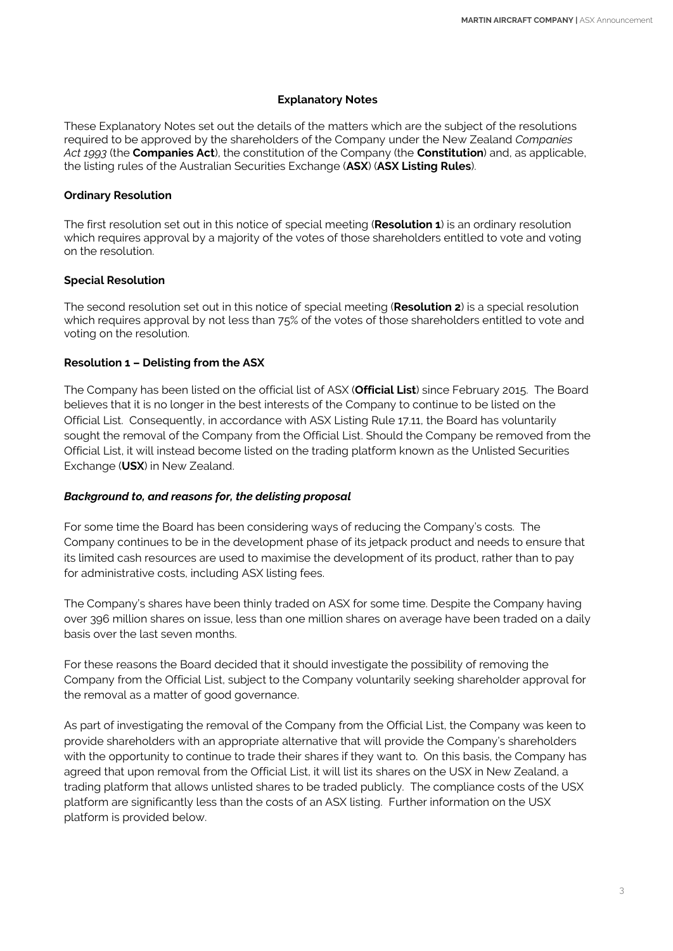#### **Explanatory Notes**

These Explanatory Notes set out the details of the matters which are the subject of the resolutions required to be approved by the shareholders of the Company under the New Zealand *Companies Act 1993* (the **Companies Act**), the constitution of the Company (the **Constitution**) and, as applicable, the listing rules of the Australian Securities Exchange (**ASX**) (**ASX Listing Rules**).

#### **Ordinary Resolution**

The first resolution set out in this notice of special meeting (**Resolution 1**) is an ordinary resolution which requires approval by a majority of the votes of those shareholders entitled to vote and voting on the resolution.

#### **Special Resolution**

The second resolution set out in this notice of special meeting (**Resolution 2**) is a special resolution which requires approval by not less than 75% of the votes of those shareholders entitled to vote and voting on the resolution.

## **Resolution 1 – Delisting from the ASX**

The Company has been listed on the official list of ASX (**Official List**) since February 2015. The Board believes that it is no longer in the best interests of the Company to continue to be listed on the Official List. Consequently, in accordance with ASX Listing Rule 17.11, the Board has voluntarily sought the removal of the Company from the Official List. Should the Company be removed from the Official List, it will instead become listed on the trading platform known as the Unlisted Securities Exchange (**USX**) in New Zealand.

#### *Background to, and reasons for, the delisting proposal*

For some time the Board has been considering ways of reducing the Company's costs. The Company continues to be in the development phase of its jetpack product and needs to ensure that its limited cash resources are used to maximise the development of its product, rather than to pay for administrative costs, including ASX listing fees.

The Company's shares have been thinly traded on ASX for some time. Despite the Company having over 396 million shares on issue, less than one million shares on average have been traded on a daily basis over the last seven months.

For these reasons the Board decided that it should investigate the possibility of removing the Company from the Official List, subject to the Company voluntarily seeking shareholder approval for the removal as a matter of good governance.

As part of investigating the removal of the Company from the Official List, the Company was keen to provide shareholders with an appropriate alternative that will provide the Company's shareholders with the opportunity to continue to trade their shares if they want to. On this basis, the Company has agreed that upon removal from the Official List, it will list its shares on the USX in New Zealand, a trading platform that allows unlisted shares to be traded publicly. The compliance costs of the USX platform are significantly less than the costs of an ASX listing. Further information on the USX platform is provided below.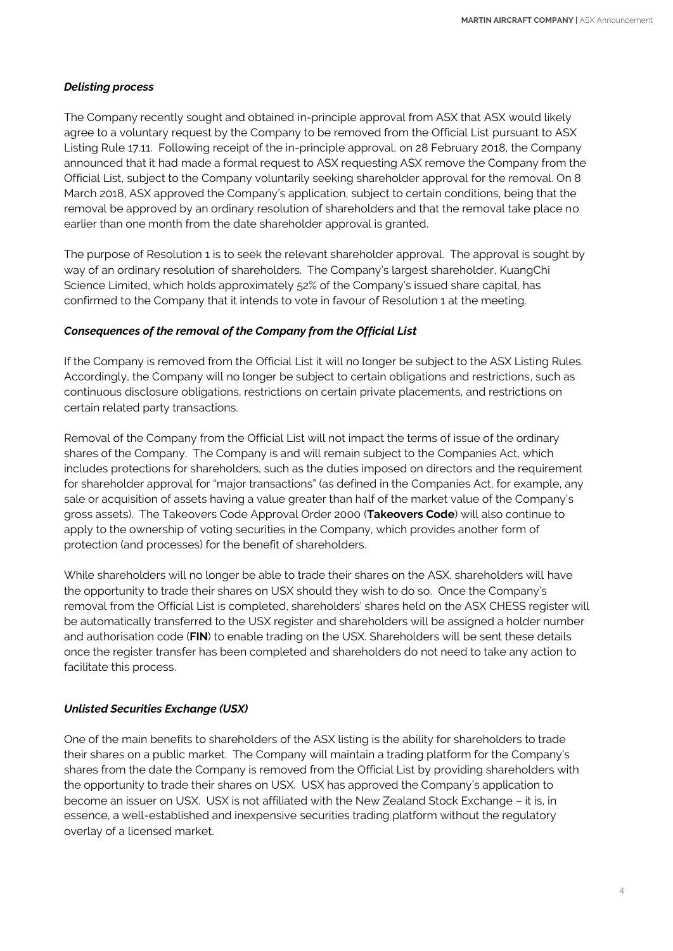#### *Delisting process*

The Company recently sought and obtained in-principle approval from ASX that ASX would likely agree to a voluntary request by the Company to be removed from the Official List pursuant to ASX Listing Rule 17.11. Following receipt of the in-principle approval, on 28 February 2018, the Company announced that it had made a formal request to ASX requesting ASX remove the Company from the Official List, subject to the Company voluntarily seeking shareholder approval for the removal. On 8 March 2018, ASX approved the Company's application, subject to certain conditions, being that the removal be approved by an ordinary resolution of shareholders and that the removal take place no earlier than one month from the date shareholder approval is granted.

The purpose of Resolution 1 is to seek the relevant shareholder approval. The approval is sought by way of an ordinary resolution of shareholders. The Company's largest shareholder, KuangChi Science Limited, which holds approximately 52% of the Company's issued share capital, has confirmed to the Company that it intends to vote in favour of Resolution 1 at the meeting.

## *Consequences of the removal of the Company from the Official List*

If the Company is removed from the Official List it will no longer be subject to the ASX Listing Rules. Accordingly, the Company will no longer be subject to certain obligations and restrictions, such as continuous disclosure obligations, restrictions on certain private placements, and restrictions on certain related party transactions.

Removal of the Company from the Official List will not impact the terms of issue of the ordinary shares of the Company. The Company is and will remain subject to the Companies Act, which includes protections for shareholders, such as the duties imposed on directors and the requirement for shareholder approval for "major transactions" (as defined in the Companies Act, for example, any sale or acquisition of assets having a value greater than half of the market value of the Company's gross assets). The Takeovers Code Approval Order 2000 (**Takeovers Code**) will also continue to apply to the ownership of voting securities in the Company, which provides another form of protection (and processes) for the benefit of shareholders.

While shareholders will no longer be able to trade their shares on the ASX, shareholders will have the opportunity to trade their shares on USX should they wish to do so. Once the Company's removal from the Official List is completed, shareholders' shares held on the ASX CHESS register will be automatically transferred to the USX register and shareholders will be assigned a holder number and authorisation code (**FIN**) to enable trading on the USX. Shareholders will be sent these details once the register transfer has been completed and shareholders do not need to take any action to facilitate this process.

#### *Unlisted Securities Exchange (USX)*

One of the main benefits to shareholders of the ASX listing is the ability for shareholders to trade their shares on a public market. The Company will maintain a trading platform for the Company's shares from the date the Company is removed from the Official List by providing shareholders with the opportunity to trade their shares on USX. USX has approved the Company's application to become an issuer on USX. USX is not affiliated with the New Zealand Stock Exchange – it is, in essence, a well-established and inexpensive securities trading platform without the regulatory overlay of a licensed market.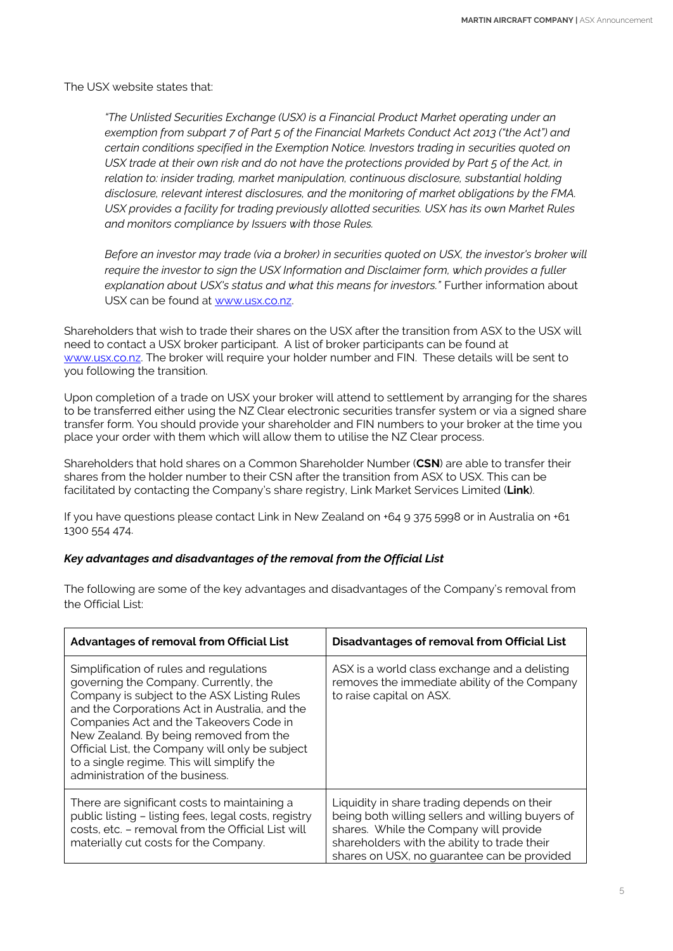The USX website states that:

*"The Unlisted Securities Exchange (USX) is a Financial Product Market operating under an exemption from subpart 7 of Part 5 of the Financial Markets Conduct Act 2013 ("the Act") and certain conditions specified in the Exemption Notice. Investors trading in securities quoted on USX trade at their own risk and do not have the protections provided by Part 5 of the Act, in relation to: insider trading, market manipulation, continuous disclosure, substantial holding disclosure, relevant interest disclosures, and the monitoring of market obligations by the FMA. USX provides a facility for trading previously allotted securities. USX has its own Market Rules and monitors compliance by Issuers with those Rules.*

*Before an investor may trade (via a broker) in securities quoted on USX, the investor's broker will require the investor to sign the USX Information and Disclaimer form, which provides a fuller explanation about USX's status and what this means for investors."* Further information about USX can be found at [www.usx.co.nz.](http://www.usx.co.nz/)

Shareholders that wish to trade their shares on the USX after the transition from ASX to the USX will need to contact a USX broker participant. A list of broker participants can be found at [www.usx.co.nz.](http://www.usx.co.nz/) The broker will require your holder number and FIN. These details will be sent to you following the transition.

Upon completion of a trade on USX your broker will attend to settlement by arranging for the shares to be transferred either using the NZ Clear electronic securities transfer system or via a signed share transfer form. You should provide your shareholder and FIN numbers to your broker at the time you place your order with them which will allow them to utilise the NZ Clear process.

Shareholders that hold shares on a Common Shareholder Number (**CSN**) are able to transfer their shares from the holder number to their CSN after the transition from ASX to USX. This can be facilitated by contacting the Company's share registry, Link Market Services Limited (**Link**).

If you have questions please contact Link in New Zealand on +64 9 375 5998 or in Australia on +61 1300 554 474.

# *Key advantages and disadvantages of the removal from the Official List*

| <b>Advantages of removal from Official List</b>                                                                                                                                                                                                                                                                                                                                                            | Disadvantages of removal from Official List                                                                                                                                                                                              |
|------------------------------------------------------------------------------------------------------------------------------------------------------------------------------------------------------------------------------------------------------------------------------------------------------------------------------------------------------------------------------------------------------------|------------------------------------------------------------------------------------------------------------------------------------------------------------------------------------------------------------------------------------------|
| Simplification of rules and regulations<br>governing the Company. Currently, the<br>Company is subject to the ASX Listing Rules<br>and the Corporations Act in Australia, and the<br>Companies Act and the Takeovers Code in<br>New Zealand. By being removed from the<br>Official List, the Company will only be subject<br>to a single regime. This will simplify the<br>administration of the business. | ASX is a world class exchange and a delisting<br>removes the immediate ability of the Company<br>to raise capital on ASX.                                                                                                                |
| There are significant costs to maintaining a<br>public listing - listing fees, legal costs, registry<br>costs, etc. - removal from the Official List will<br>materially cut costs for the Company.                                                                                                                                                                                                         | Liquidity in share trading depends on their<br>being both willing sellers and willing buyers of<br>shares. While the Company will provide<br>shareholders with the ability to trade their<br>shares on USX, no guarantee can be provided |

The following are some of the key advantages and disadvantages of the Company's removal from the Official List: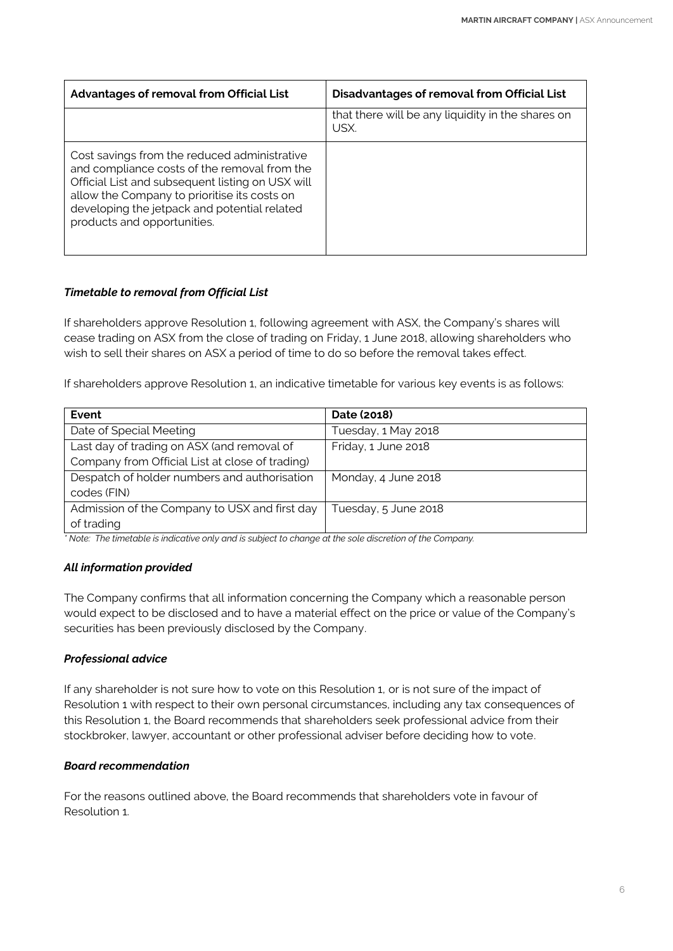| <b>Advantages of removal from Official List</b>                                                                                                                                                                                                                                 | Disadvantages of removal from Official List               |
|---------------------------------------------------------------------------------------------------------------------------------------------------------------------------------------------------------------------------------------------------------------------------------|-----------------------------------------------------------|
|                                                                                                                                                                                                                                                                                 | that there will be any liquidity in the shares on<br>USX. |
| Cost savings from the reduced administrative<br>and compliance costs of the removal from the<br>Official List and subsequent listing on USX will<br>allow the Company to prioritise its costs on<br>developing the jetpack and potential related<br>products and opportunities. |                                                           |

# *Timetable to removal from Official List*

If shareholders approve Resolution 1, following agreement with ASX, the Company's shares will cease trading on ASX from the close of trading on Friday, 1 June 2018, allowing shareholders who wish to sell their shares on ASX a period of time to do so before the removal takes effect.

If shareholders approve Resolution 1, an indicative timetable for various key events is as follows:

| Event                                           | Date (2018)          |
|-------------------------------------------------|----------------------|
| Date of Special Meeting                         | Tuesday, 1 May 2018  |
| Last day of trading on ASX (and removal of      | Friday, 1 June 2018  |
| Company from Official List at close of trading) |                      |
| Despatch of holder numbers and authorisation    | Monday, 4 June 2018  |
| codes (FIN)                                     |                      |
| Admission of the Company to USX and first day   | Tuesday, 5 June 2018 |
| of trading                                      |                      |

*\* Note: The timetable is indicative only and is subject to change at the sole discretion of the Company.*

# *All information provided*

The Company confirms that all information concerning the Company which a reasonable person would expect to be disclosed and to have a material effect on the price or value of the Company's securities has been previously disclosed by the Company.

# *Professional advice*

If any shareholder is not sure how to vote on this Resolution 1, or is not sure of the impact of Resolution 1 with respect to their own personal circumstances, including any tax consequences of this Resolution 1, the Board recommends that shareholders seek professional advice from their stockbroker, lawyer, accountant or other professional adviser before deciding how to vote.

# *Board recommendation*

For the reasons outlined above, the Board recommends that shareholders vote in favour of Resolution 1.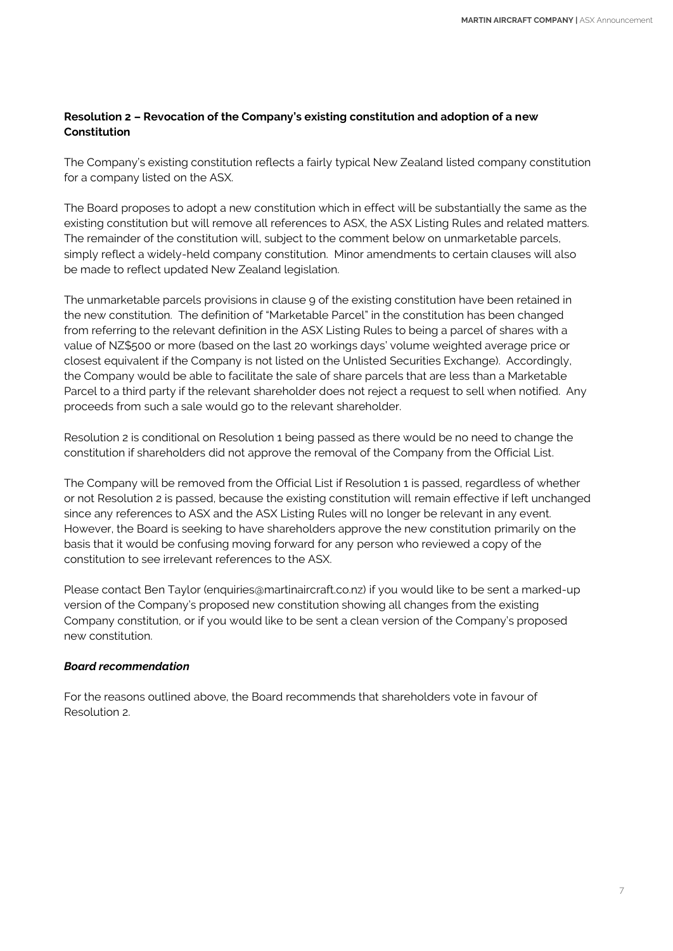# **Resolution 2 – Revocation of the Company's existing constitution and adoption of a new Constitution**

The Company's existing constitution reflects a fairly typical New Zealand listed company constitution for a company listed on the ASX.

The Board proposes to adopt a new constitution which in effect will be substantially the same as the existing constitution but will remove all references to ASX, the ASX Listing Rules and related matters. The remainder of the constitution will, subject to the comment below on unmarketable parcels, simply reflect a widely-held company constitution. Minor amendments to certain clauses will also be made to reflect updated New Zealand legislation.

The unmarketable parcels provisions in clause 9 of the existing constitution have been retained in the new constitution. The definition of "Marketable Parcel" in the constitution has been changed from referring to the relevant definition in the ASX Listing Rules to being a parcel of shares with a value of NZ\$500 or more (based on the last 20 workings days' volume weighted average price or closest equivalent if the Company is not listed on the Unlisted Securities Exchange). Accordingly, the Company would be able to facilitate the sale of share parcels that are less than a Marketable Parcel to a third party if the relevant shareholder does not reject a request to sell when notified. Any proceeds from such a sale would go to the relevant shareholder.

Resolution 2 is conditional on Resolution 1 being passed as there would be no need to change the constitution if shareholders did not approve the removal of the Company from the Official List.

The Company will be removed from the Official List if Resolution 1 is passed, regardless of whether or not Resolution 2 is passed, because the existing constitution will remain effective if left unchanged since any references to ASX and the ASX Listing Rules will no longer be relevant in any event. However, the Board is seeking to have shareholders approve the new constitution primarily on the basis that it would be confusing moving forward for any person who reviewed a copy of the constitution to see irrelevant references to the ASX.

Please contact Ben Taylor (enquiries@martinaircraft.co.nz) if you would like to be sent a marked-up version of the Company's proposed new constitution showing all changes from the existing Company constitution, or if you would like to be sent a clean version of the Company's proposed new constitution.

# *Board recommendation*

For the reasons outlined above, the Board recommends that shareholders vote in favour of Resolution 2.